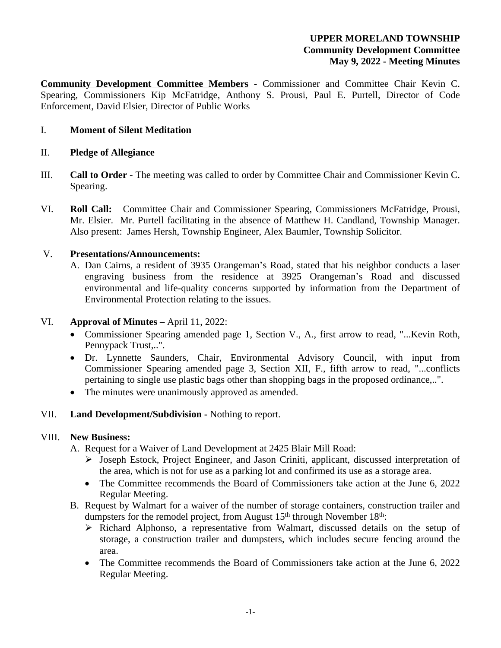## **UPPER MORELAND TOWNSHIP Community Development Committee May 9, 2022 - Meeting Minutes**

**Community Development Committee Members** - Commissioner and Committee Chair Kevin C. Spearing, Commissioners Kip McFatridge, Anthony S. Prousi, Paul E. Purtell, Director of Code Enforcement, David Elsier, Director of Public Works

## I. **Moment of Silent Meditation**

### II. **Pledge of Allegiance**

- III. **Call to Order -** The meeting was called to order by Committee Chair and Commissioner Kevin C. Spearing.
- VI. **Roll Call:** Committee Chair and Commissioner Spearing, Commissioners McFatridge, Prousi, Mr. Elsier. Mr. Purtell facilitating in the absence of Matthew H. Candland, Township Manager. Also present: James Hersh, Township Engineer, Alex Baumler, Township Solicitor.

### V. **Presentations/Announcements:**

A. Dan Cairns, a resident of 3935 Orangeman's Road, stated that his neighbor conducts a laser engraving business from the residence at 3925 Orangeman's Road and discussed environmental and life-quality concerns supported by information from the Department of Environmental Protection relating to the issues.

#### VI. **Approval of Minutes –** April 11, 2022:

- Commissioner Spearing amended page 1, Section V., A., first arrow to read, "...Kevin Roth, Pennypack Trust,..".
- Dr. Lynnette Saunders, Chair, Environmental Advisory Council, with input from Commissioner Spearing amended page 3, Section XII, F., fifth arrow to read, "...conflicts pertaining to single use plastic bags other than shopping bags in the proposed ordinance,..".
- The minutes were unanimously approved as amended.

## VII. **Land Development/Subdivision -** Nothing to report.

#### VIII. **New Business:**

- A. Request for a Waiver of Land Development at 2425 Blair Mill Road:
	- Joseph Estock, Project Engineer, and Jason Criniti, applicant, discussed interpretation of the area, which is not for use as a parking lot and confirmed its use as a storage area.
	- The Committee recommends the Board of Commissioners take action at the June 6, 2022 Regular Meeting.
- B. Request by Walmart for a waiver of the number of storage containers, construction trailer and dumpsters for the remodel project, from August  $15<sup>th</sup>$  through November  $18<sup>th</sup>$ :
	- $\triangleright$  Richard Alphonso, a representative from Walmart, discussed details on the setup of storage, a construction trailer and dumpsters, which includes secure fencing around the area.
	- The Committee recommends the Board of Commissioners take action at the June 6, 2022 Regular Meeting.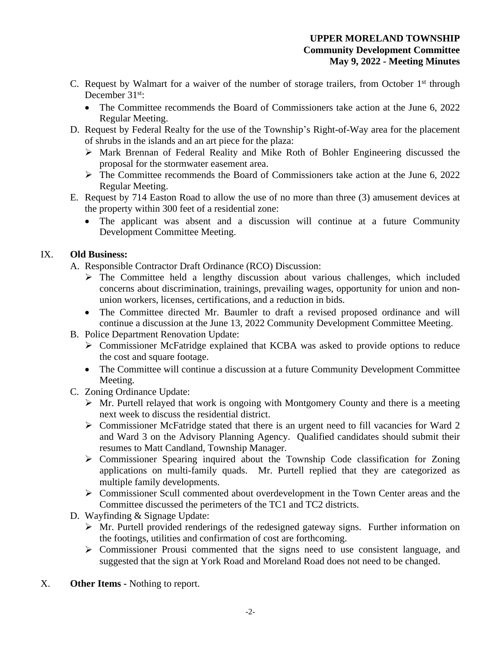- C. Request by Walmart for a waiver of the number of storage trailers, from October 1<sup>st</sup> through December 31<sup>st</sup>:
	- The Committee recommends the Board of Commissioners take action at the June 6, 2022 Regular Meeting.
- D. Request by Federal Realty for the use of the Township's Right-of-Way area for the placement of shrubs in the islands and an art piece for the plaza:
	- Mark Brennan of Federal Reality and Mike Roth of Bohler Engineering discussed the proposal for the stormwater easement area.
	- $\triangleright$  The Committee recommends the Board of Commissioners take action at the June 6, 2022 Regular Meeting.
- E. Request by 714 Easton Road to allow the use of no more than three (3) amusement devices at the property within 300 feet of a residential zone:
	- The applicant was absent and a discussion will continue at a future Community Development Committee Meeting.

# IX. **Old Business:**

- A. Responsible Contractor Draft Ordinance (RCO) Discussion:
	- $\triangleright$  The Committee held a lengthy discussion about various challenges, which included concerns about discrimination, trainings, prevailing wages, opportunity for union and nonunion workers, licenses, certifications, and a reduction in bids.
	- The Committee directed Mr. Baumler to draft a revised proposed ordinance and will continue a discussion at the June 13, 2022 Community Development Committee Meeting.
- B. Police Department Renovation Update:
	- Commissioner McFatridge explained that KCBA was asked to provide options to reduce the cost and square footage.
	- The Committee will continue a discussion at a future Community Development Committee Meeting.
- C. Zoning Ordinance Update:
	- $\triangleright$  Mr. Purtell relayed that work is ongoing with Montgomery County and there is a meeting next week to discuss the residential district.
	- $\triangleright$  Commissioner McFatridge stated that there is an urgent need to fill vacancies for Ward 2 and Ward 3 on the Advisory Planning Agency. Qualified candidates should submit their resumes to Matt Candland, Township Manager.
	- Commissioner Spearing inquired about the Township Code classification for Zoning applications on multi-family quads. Mr. Purtell replied that they are categorized as multiple family developments.
	- $\triangleright$  Commissioner Scull commented about overdevelopment in the Town Center areas and the Committee discussed the perimeters of the TC1 and TC2 districts.
- D. Wayfinding & Signage Update:
	- Mr. Purtell provided renderings of the redesigned gateway signs. Further information on the footings, utilities and confirmation of cost are forthcoming.
	- $\triangleright$  Commissioner Prousi commented that the signs need to use consistent language, and suggested that the sign at York Road and Moreland Road does not need to be changed.
- X. **Other Items** Nothing to report.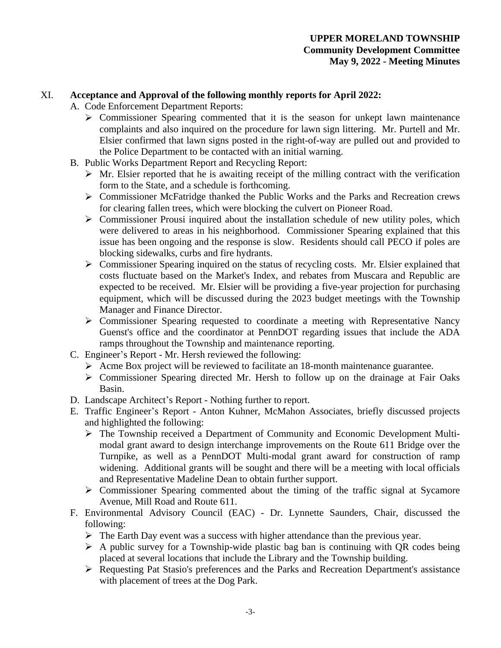### XI. **Acceptance and Approval of the following monthly reports for April 2022:**

- A. Code Enforcement Department Reports:
	- $\triangleright$  Commissioner Spearing commented that it is the season for unkept lawn maintenance complaints and also inquired on the procedure for lawn sign littering. Mr. Purtell and Mr. Elsier confirmed that lawn signs posted in the right-of-way are pulled out and provided to the Police Department to be contacted with an initial warning.
- B. Public Works Department Report and Recycling Report:
	- $\triangleright$  Mr. Elsier reported that he is awaiting receipt of the milling contract with the verification form to the State, and a schedule is forthcoming.
	- $\triangleright$  Commissioner McFatridge thanked the Public Works and the Parks and Recreation crews for clearing fallen trees, which were blocking the culvert on Pioneer Road.
	- $\triangleright$  Commissioner Prousi inquired about the installation schedule of new utility poles, which were delivered to areas in his neighborhood. Commissioner Spearing explained that this issue has been ongoing and the response is slow. Residents should call PECO if poles are blocking sidewalks, curbs and fire hydrants.
	- Commissioner Spearing inquired on the status of recycling costs. Mr. Elsier explained that costs fluctuate based on the Market's Index, and rebates from Muscara and Republic are expected to be received. Mr. Elsier will be providing a five-year projection for purchasing equipment, which will be discussed during the 2023 budget meetings with the Township Manager and Finance Director.
	- Commissioner Spearing requested to coordinate a meeting with Representative Nancy Guenst's office and the coordinator at PennDOT regarding issues that include the ADA ramps throughout the Township and maintenance reporting.
- C. Engineer's Report Mr. Hersh reviewed the following:
	- $\triangleright$  Acme Box project will be reviewed to facilitate an 18-month maintenance guarantee.
	- Commissioner Spearing directed Mr. Hersh to follow up on the drainage at Fair Oaks Basin.
- D. Landscape Architect's Report Nothing further to report.
- E. Traffic Engineer's Report Anton Kuhner, McMahon Associates, briefly discussed projects and highlighted the following:
	- The Township received a Department of Community and Economic Development Multimodal grant award to design interchange improvements on the Route 611 Bridge over the Turnpike, as well as a PennDOT Multi-modal grant award for construction of ramp widening. Additional grants will be sought and there will be a meeting with local officials and Representative Madeline Dean to obtain further support.
	- Commissioner Spearing commented about the timing of the traffic signal at Sycamore Avenue, Mill Road and Route 611.
- F. Environmental Advisory Council (EAC) Dr. Lynnette Saunders, Chair, discussed the following:
	- $\triangleright$  The Earth Day event was a success with higher attendance than the previous year.
	- $\triangleright$  A public survey for a Township-wide plastic bag ban is continuing with QR codes being placed at several locations that include the Library and the Township building.
	- $\triangleright$  Requesting Pat Stasio's preferences and the Parks and Recreation Department's assistance with placement of trees at the Dog Park.